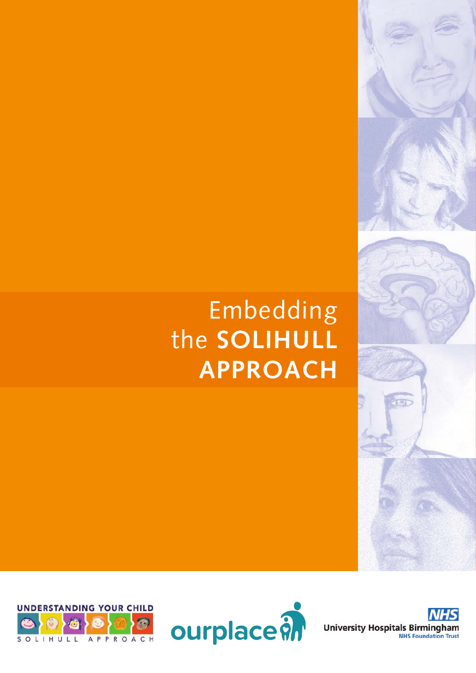# Embedding the **SOLIHULL APPROACH**





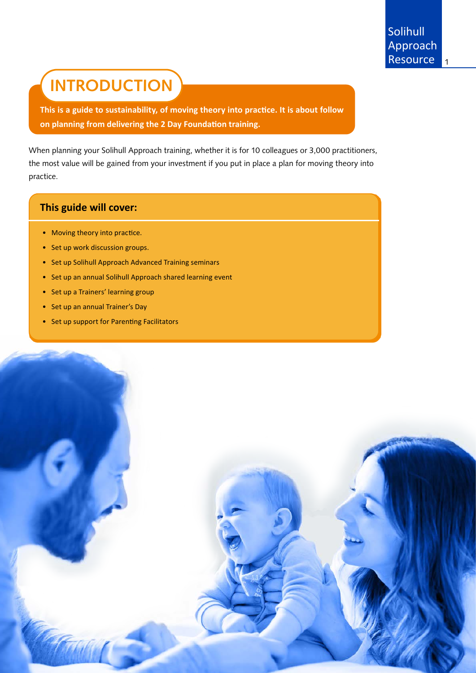## **INTRODUCTION**

**This is a guide to sustainability, of moving theory into practice. It is about follow on planning from delivering the 2 Day Foundation training.**

When planning your Solihull Approach training, whether it is for 10 colleagues or 3,000 practitioners, the most value will be gained from your investment if you put in place a plan for moving theory into practice.

## **This guide will cover:**

- Moving theory into practice.
- Set up work discussion groups.
- Set up Solihull Approach Advanced Training seminars
- Set up an annual Solihull Approach shared learning event
- Set up a Trainers' learning group
- Set up an annual Trainer's Day
- Set up support for Parenting Facilitators

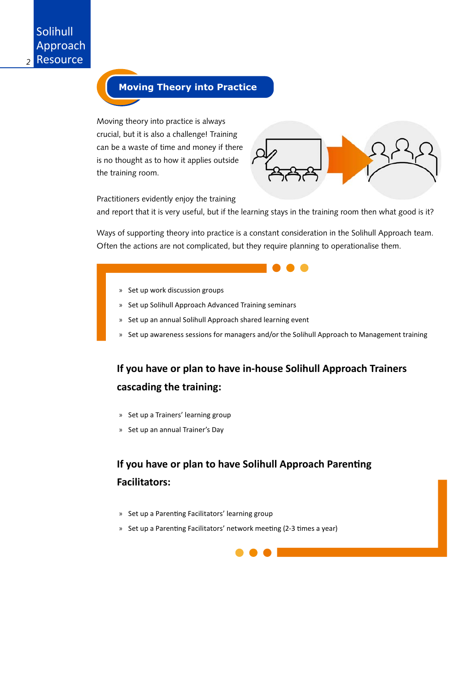## **Moving Theory into Practice**

Moving theory into practice is always crucial, but it is also a challenge! Training can be a waste of time and money if there is no thought as to how it applies outside the training room.



Practitioners evidently enjoy the training

and report that it is very useful, but if the learning stays in the training room then what good is it?

Ways of supporting theory into practice is a constant consideration in the Solihull Approach team. Often the actions are not complicated, but they require planning to operationalise them.

- » Set up work discussion groups
- » Set up Solihull Approach Advanced Training seminars
- » Set up an annual Solihull Approach shared learning event
- » Set up awareness sessions for managers and/or the Solihull Approach to Management training

## **If you have or plan to have in-house Solihull Approach Trainers cascading the training:**

- » Set up a Trainers' learning group
- » Set up an annual Trainer's Day

## **If you have or plan to have Solihull Approach Parenting Facilitators:**

- » Set up a Parenting Facilitators' learning group
- » Set up a Parenting Facilitators' network meeting (2-3 times a year)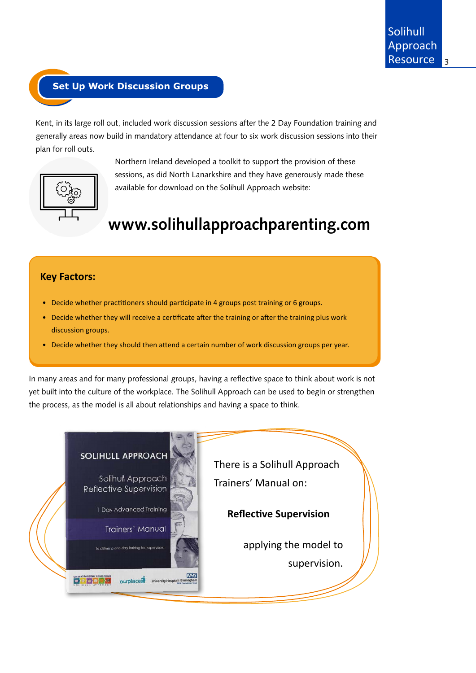## **Set Up Work Discussion Groups**

Kent, in its large roll out, included work discussion sessions after the 2 Day Foundation training and generally areas now build in mandatory attendance at four to six work discussion sessions into their plan for roll outs.



Northern Ireland developed a toolkit to support the provision of these sessions, as did North Lanarkshire and they have generously made these available for download on the Solihull Approach website:

## **www.solihullapproachparenting.com**

### **Key Factors:**

- Decide whether practitioners should participate in 4 groups post training or 6 groups.
- Decide whether they will receive a certificate after the training or after the training plus work discussion groups.
- Decide whether they should then attend a certain number of work discussion groups per year.

In many areas and for many professional groups, having a reflective space to think about work is not yet built into the culture of the workplace. The Solihull Approach can be used to begin or strengthen the process, as the model is all about relationships and having a space to think.

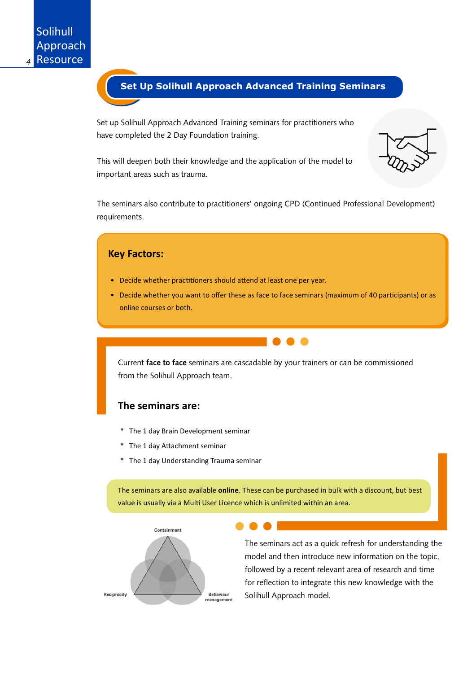

Set up Solihull Approach Advanced Training seminars for practitioners who have completed the 2 Day Foundation training.

This will deepen both their knowledge and the application of the model to important areas such as trauma.

The seminars also contribute to practitioners' ongoing CPD (Continued Professional Development) requirements.





The seminars act as a quick refresh for understanding the model and then introduce new information on the topic, followed by a recent relevant area of research and time for reflection to integrate this new knowledge with the Solihull Approach model.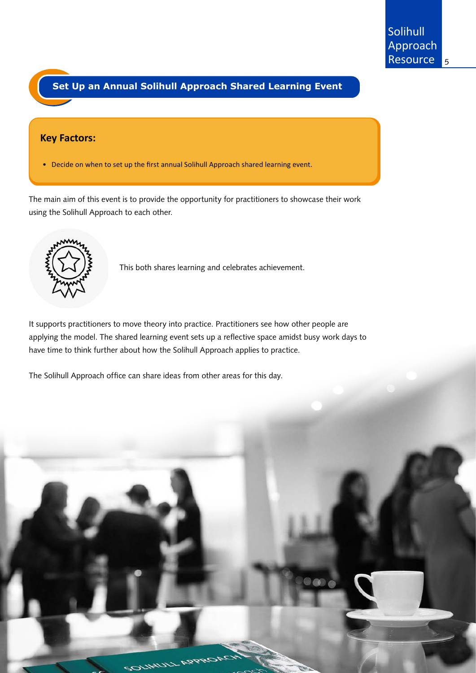## **Set Up an Annual Solihull Approach Shared Learning Event**

#### **Key Factors:**

• Decide on when to set up the first annual Solihull Approach shared learning event.

The main aim of this event is to provide the opportunity for practitioners to showcase their work using the Solihull Approach to each other.



This both shares learning and celebrates achievement.

It supports practitioners to move theory into practice. Practitioners see how other people are applying the model. The shared learning event sets up a reflective space amidst busy work days to have time to think further about how the Solihull Approach applies to practice.

The Solihull Approach office can share ideas from other areas for this day.

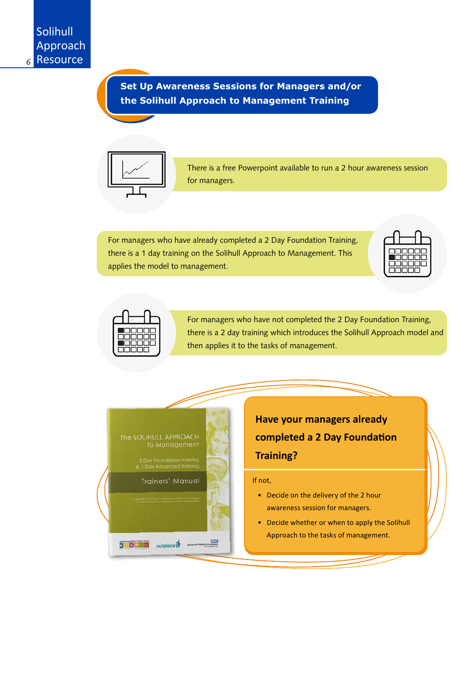**Set Up Awareness Sessions for Managers and/or the Solihull Approach to Management Training**



There is a free Powerpoint available to run a 2 hour awareness session for managers.

For managers who have already completed a 2 Day Foundation Training, there is a 1 day training on the Solihull Approach to Management. This applies the model to management.





For managers who have not completed the 2 Day Foundation Training, there is a 2 day training which introduces the Solihull Approach model and then applies it to the tasks of management.



**Have your managers already completed a 2 Day Foundation Training?**

#### If not,

- Decide on the delivery of the 2 hour awareness session for managers.
- Decide whether or when to apply the Solihull Approach to the tasks of management.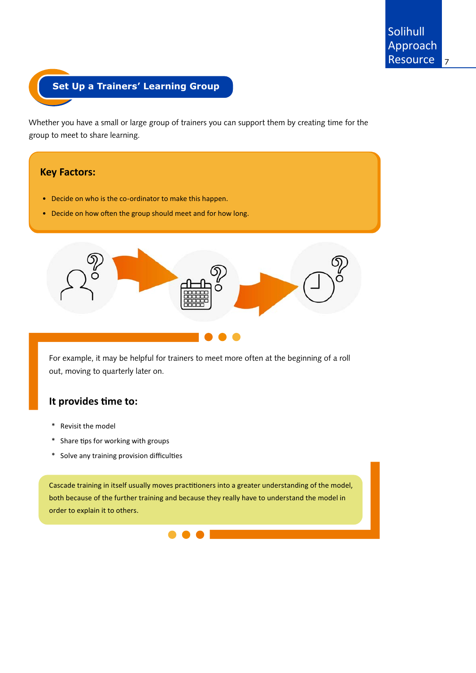## **Set Up a Trainers' Learning Group**

Whether you have a small or large group of trainers you can support them by creating time for the group to meet to share learning.

#### **Key Factors:**

- Decide on who is the co-ordinator to make this happen.
- Decide on how often the group should meet and for how long.



For example, it may be helpful for trainers to meet more often at the beginning of a roll out, moving to quarterly later on.

## **It provides time to:**

- \* Revisit the model
- \* Share tips for working with groups
- \* Solve any training provision difficulties

Cascade training in itself usually moves practitioners into a greater understanding of the model, both because of the further training and because they really have to understand the model in order to explain it to others.

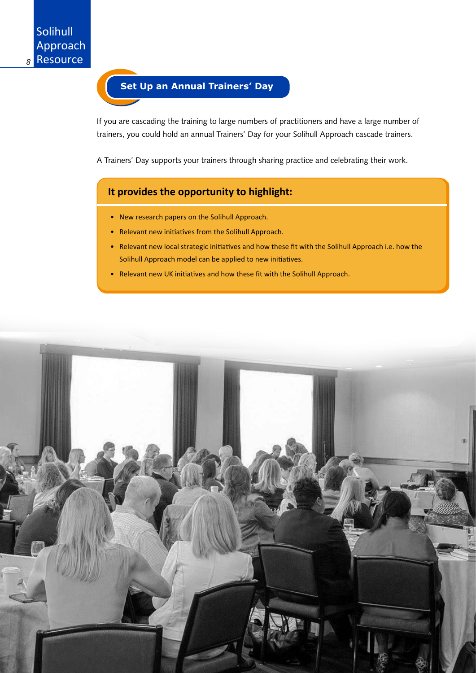

If you are cascading the training to large numbers of practitioners and have a large number of trainers, you could hold an annual Trainers' Day for your Solihull Approach cascade trainers.

A Trainers' Day supports your trainers through sharing practice and celebrating their work.

### **It provides the opportunity to highlight:**

- New research papers on the Solihull Approach.
- Relevant new initiatives from the Solihull Approach.
- Relevant new local strategic initiatives and how these fit with the Solihull Approach i.e. how the Solihull Approach model can be applied to new initiatives.
- Relevant new UK initiatives and how these fit with the Solihull Approach.

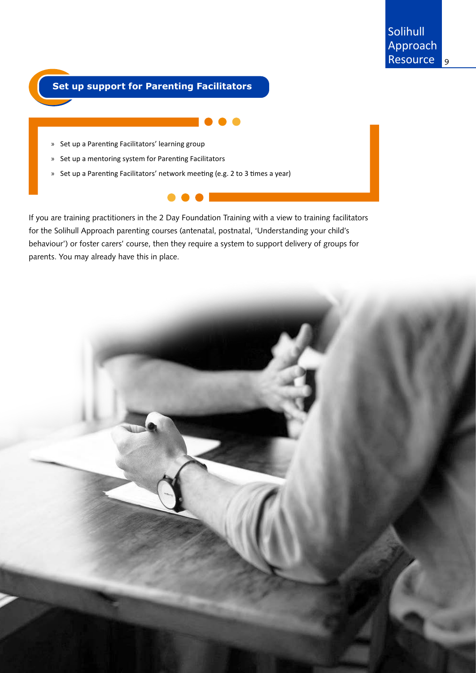## **Set up support for Parenting Facilitators**

- » Set up a Parenting Facilitators' learning group
- » Set up a mentoring system for Parenting Facilitators
- » Set up a Parenting Facilitators' network meeting (e.g. 2 to 3 times a year)

If you are training practitioners in the 2 Day Foundation Training with a view to training facilitators for the Solihull Approach parenting courses (antenatal, postnatal, 'Understanding your child's behaviour') or foster carers' course, then they require a system to support delivery of groups for parents. You may already have this in place.

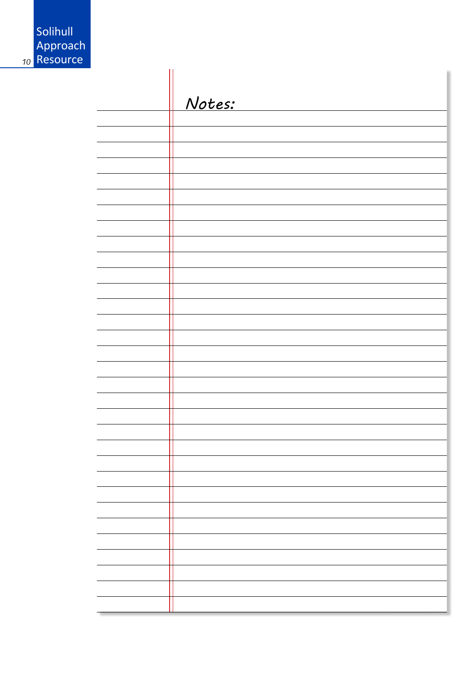| Solihull<br>Approach<br>Resource |        |
|----------------------------------|--------|
|                                  | Notes: |
|                                  |        |
|                                  |        |
|                                  |        |
|                                  |        |
|                                  |        |
|                                  |        |
|                                  |        |
|                                  |        |
|                                  |        |
|                                  |        |

*<sup>10</sup>* Resource